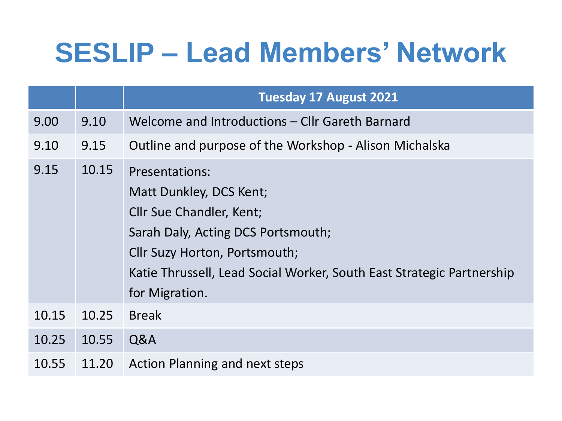## **SESLIP – Lead Members' Network**

|       |       | <b>Tuesday 17 August 2021</b>                                                                                                                                                                                                                         |
|-------|-------|-------------------------------------------------------------------------------------------------------------------------------------------------------------------------------------------------------------------------------------------------------|
| 9.00  | 9.10  | Welcome and Introductions - Cllr Gareth Barnard                                                                                                                                                                                                       |
| 9.10  | 9.15  | Outline and purpose of the Workshop - Alison Michalska                                                                                                                                                                                                |
| 9.15  | 10.15 | <b>Presentations:</b><br>Matt Dunkley, DCS Kent;<br><b>Cllr Sue Chandler, Kent;</b><br>Sarah Daly, Acting DCS Portsmouth;<br>Cllr Suzy Horton, Portsmouth;<br>Katie Thrussell, Lead Social Worker, South East Strategic Partnership<br>for Migration. |
| 10.15 | 10.25 | <b>Break</b>                                                                                                                                                                                                                                          |
| 10.25 | 10.55 | Q&A                                                                                                                                                                                                                                                   |
| 10.55 | 11.20 | <b>Action Planning and next steps</b>                                                                                                                                                                                                                 |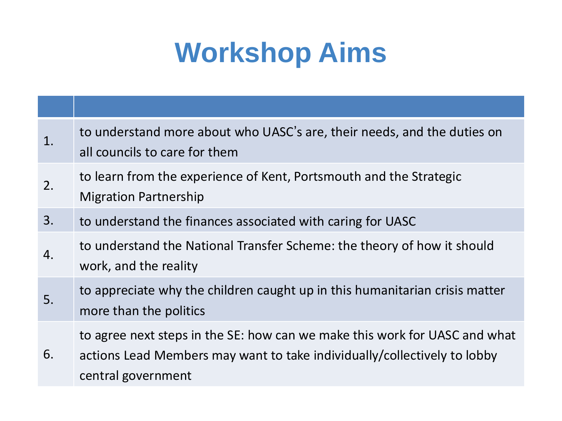# **Workshop Aims**

| 1. | to understand more about who UASC's are, their needs, and the duties on<br>all councils to care for them                                                                     |
|----|------------------------------------------------------------------------------------------------------------------------------------------------------------------------------|
| 2. | to learn from the experience of Kent, Portsmouth and the Strategic<br><b>Migration Partnership</b>                                                                           |
| 3. | to understand the finances associated with caring for UASC                                                                                                                   |
| 4. | to understand the National Transfer Scheme: the theory of how it should<br>work, and the reality                                                                             |
| 5. | to appreciate why the children caught up in this humanitarian crisis matter<br>more than the politics                                                                        |
| 6. | to agree next steps in the SE: how can we make this work for UASC and what<br>actions Lead Members may want to take individually/collectively to lobby<br>central government |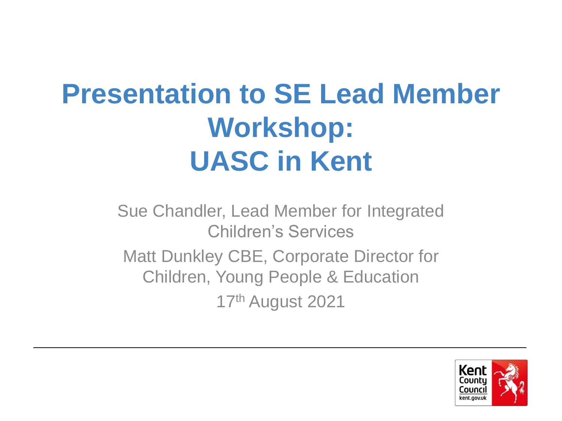# **Presentation to SE Lead Member Workshop: UASC in Kent**

Sue Chandler, Lead Member for Integrated Children's Services

Matt Dunkley CBE, Corporate Director for Children, Young People & Education

17th August 2021

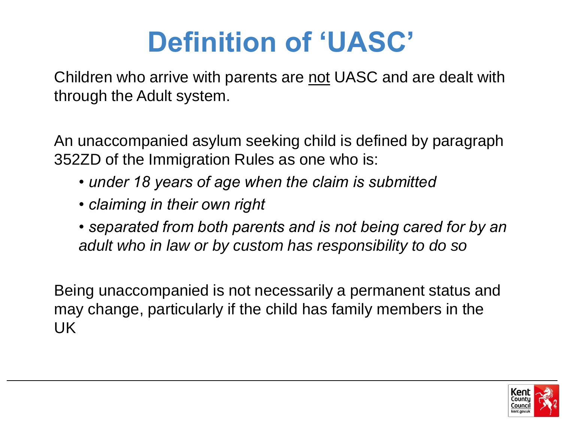# **Definition of 'UASC'**

Children who arrive with parents are not UASC and are dealt with through the Adult system.

An unaccompanied asylum seeking child is defined by paragraph 352ZD of the Immigration Rules as one who is:

- *under 18 years of age when the claim is submitted*
- *claiming in their own right*
- *separated from both parents and is not being cared for by an adult who in law or by custom has responsibility to do so*

Being unaccompanied is not necessarily a permanent status and may change, particularly if the child has family members in the UK

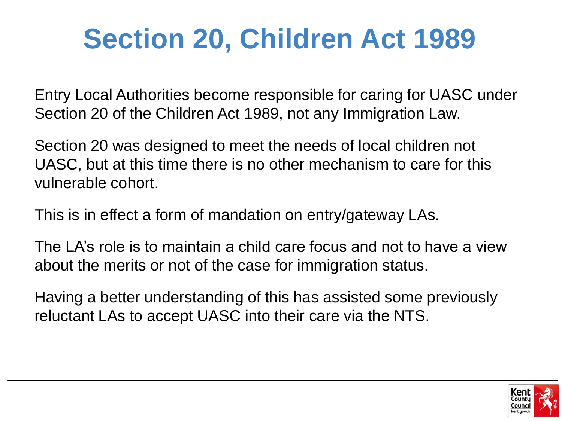# **Section 20, Children Act 1989**

Entry Local Authorities become responsible for caring for UASC under Section 20 of the Children Act 1989, not any Immigration Law.

Section 20 was designed to meet the needs of local children not UASC, but at this time there is no other mechanism to care for this vulnerable cohort.

This is in effect a form of mandation on entry/gateway LAs.

The LA's role is to maintain a child care focus and not to have a view about the merits or not of the case for immigration status.

Having a better understanding of this has assisted some previously reluctant LAs to accept UASC into their care via the NTS.

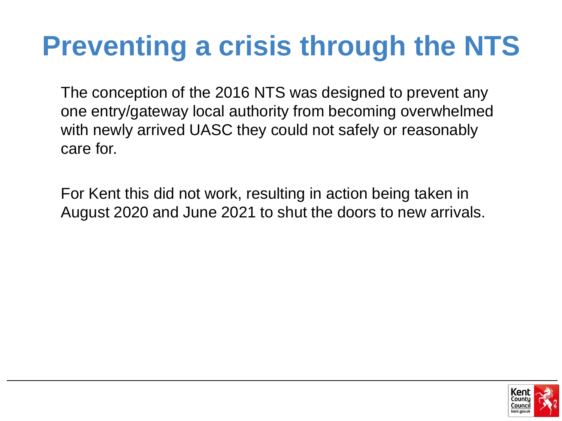# **Preventing a crisis through the NTS**

The conception of the 2016 NTS was designed to prevent any one entry/gateway local authority from becoming overwhelmed with newly arrived UASC they could not safely or reasonably care for.

For Kent this did not work, resulting in action being taken in August 2020 and June 2021 to shut the doors to new arrivals.

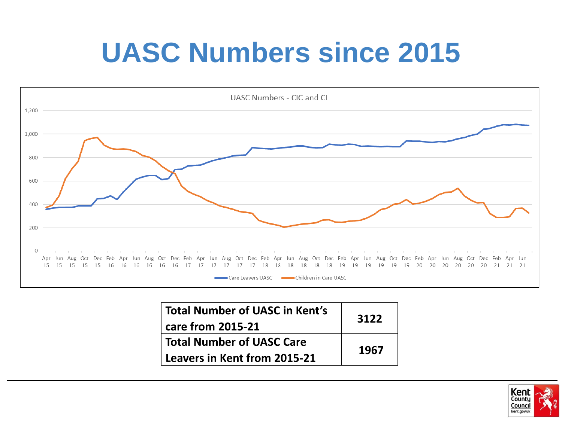# **UASC Numbers since 2015**



| <b>Total Number of UASC in Kent's</b><br>care from 2015-21 | 3122 |
|------------------------------------------------------------|------|
| <b>Total Number of UASC Care</b>                           | 1967 |
| Leavers in Kent from 2015-21                               |      |

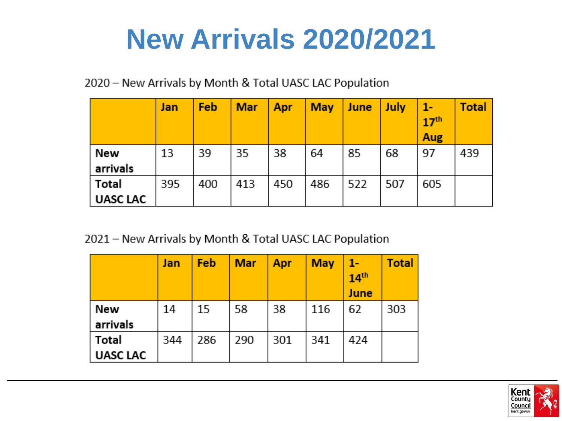## **New Arrivals 2020/2021**

2020 - New Arrivals by Month & Total UASC LAC Population

|                 | Jan | Feb | <b>Mar</b> | Apr | <b>May</b> | <b>June</b> | <b>July</b> | $1 -$<br>17 <sup>th</sup><br><b>Aug</b> | <b>Total</b> |
|-----------------|-----|-----|------------|-----|------------|-------------|-------------|-----------------------------------------|--------------|
| New             | 13  | 39  | 35         | 38  | 64         | 85          | 68          | 97                                      | 439          |
| arrivals        |     |     |            |     |            |             |             |                                         |              |
| Total           | 395 | 400 | 413        | 450 | 486        | 522         | 507         | 605                                     |              |
| <b>UASC LAC</b> |     |     |            |     |            |             |             |                                         |              |

2021 - New Arrivals by Month & Total UASC LAC Population

|                 | Jan | Feb | <b>Mar</b> | Apr | <b>May</b> | 1-<br>14 <sup>th</sup><br>June | <b>Total</b> |
|-----------------|-----|-----|------------|-----|------------|--------------------------------|--------------|
| New             | 14  | 15  | 58         | 38  | 116        | 62                             | 303          |
| arrivals        |     |     |            |     |            |                                |              |
| Total           | 344 | 286 | 290        | 301 | 341        | 424                            |              |
| <b>UASC LAC</b> |     |     |            |     |            |                                |              |

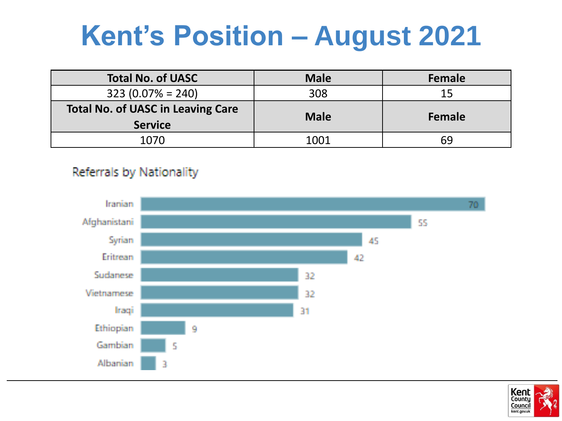## **Kent's Position – August 2021**

| <b>Total No. of UASC</b>                 | <b>Male</b> | Female |  |
|------------------------------------------|-------------|--------|--|
| $323(0.07\% = 240)$                      | 308         | 15     |  |
| <b>Total No. of UASC in Leaving Care</b> | <b>Male</b> |        |  |
| <b>Service</b>                           |             | Female |  |
| 1070                                     | 1001        | 69     |  |

#### Referrals by Nationality



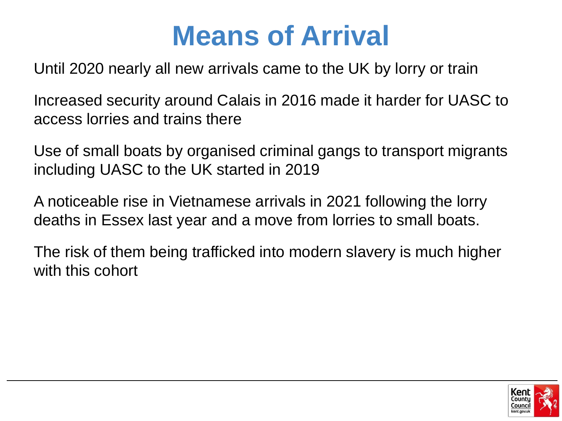### **Means of Arrival**

Until 2020 nearly all new arrivals came to the UK by lorry or train

Increased security around Calais in 2016 made it harder for UASC to access lorries and trains there

Use of small boats by organised criminal gangs to transport migrants including UASC to the UK started in 2019

A noticeable rise in Vietnamese arrivals in 2021 following the lorry deaths in Essex last year and a move from lorries to small boats.

The risk of them being trafficked into modern slavery is much higher with this cohort

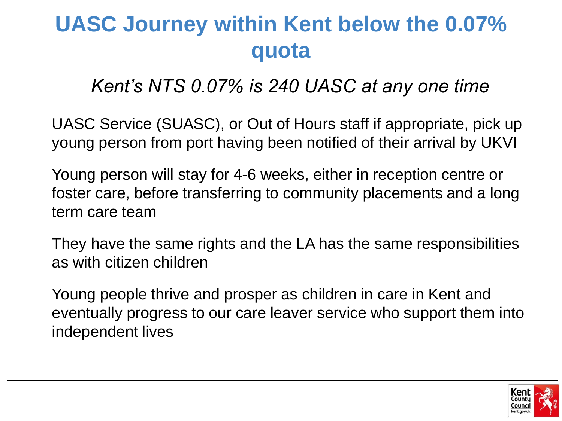#### **UASC Journey within Kent below the 0.07% quota**

#### *Kent's NTS 0.07% is 240 UASC at any one time*

UASC Service (SUASC), or Out of Hours staff if appropriate, pick up young person from port having been notified of their arrival by UKVI

Young person will stay for 4-6 weeks, either in reception centre or foster care, before transferring to community placements and a long term care team

They have the same rights and the LA has the same responsibilities as with citizen children

Young people thrive and prosper as children in care in Kent and eventually progress to our care leaver service who support them into independent lives

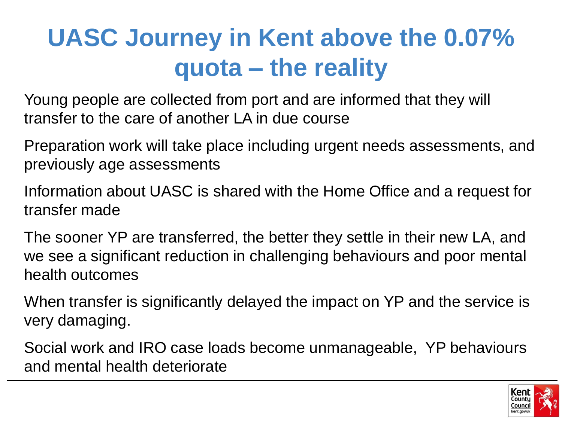#### **UASC Journey in Kent above the 0.07% quota – the reality**

Young people are collected from port and are informed that they will transfer to the care of another LA in due course

Preparation work will take place including urgent needs assessments, and previously age assessments

Information about UASC is shared with the Home Office and a request for transfer made

The sooner YP are transferred, the better they settle in their new LA, and we see a significant reduction in challenging behaviours and poor mental health outcomes

When transfer is significantly delayed the impact on YP and the service is very damaging.

Social work and IRO case loads become unmanageable, YP behaviours and mental health deteriorate

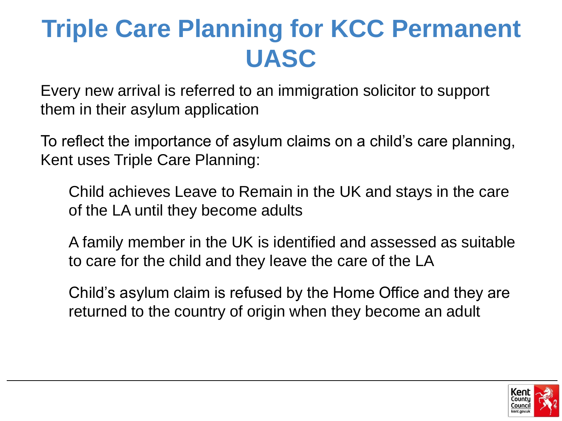#### **Triple Care Planning for KCC Permanent UASC**

Every new arrival is referred to an immigration solicitor to support them in their asylum application

To reflect the importance of asylum claims on a child's care planning, Kent uses Triple Care Planning:

Child achieves Leave to Remain in the UK and stays in the care of the LA until they become adults

A family member in the UK is identified and assessed as suitable to care for the child and they leave the care of the LA

Child's asylum claim is refused by the Home Office and they are returned to the country of origin when they become an adult

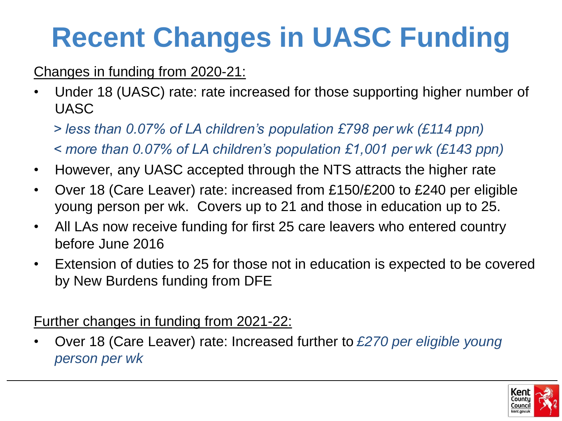# **Recent Changes in UASC Funding**

#### Changes in funding from 2020-21:

- Under 18 (UASC) rate: rate increased for those supporting higher number of UASC
	- *> less than 0.07% of LA children's population £798 per wk (£114 ppn) < more than 0.07% of LA children's population £1,001 per wk (£143 ppn)*
- However, any UASC accepted through the NTS attracts the higher rate
- Over 18 (Care Leaver) rate: increased from £150/£200 to £240 per eligible young person per wk. Covers up to 21 and those in education up to 25.
- All LAs now receive funding for first 25 care leavers who entered country before June 2016
- Extension of duties to 25 for those not in education is expected to be covered by New Burdens funding from DFE

Further changes in funding from 2021-22:

• Over 18 (Care Leaver) rate: Increased further to *£270 per eligible young person per wk*

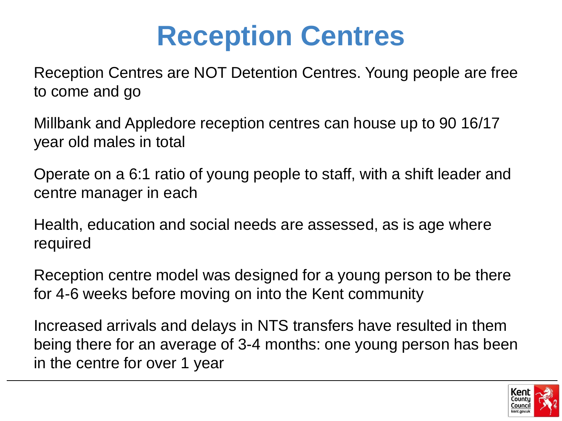## **Reception Centres**

Reception Centres are NOT Detention Centres. Young people are free to come and go

Millbank and Appledore reception centres can house up to 90 16/17 year old males in total

Operate on a 6:1 ratio of young people to staff, with a shift leader and centre manager in each

Health, education and social needs are assessed, as is age where required

Reception centre model was designed for a young person to be there for 4-6 weeks before moving on into the Kent community

Increased arrivals and delays in NTS transfers have resulted in them being there for an average of 3-4 months: one young person has been in the centre for over 1 year

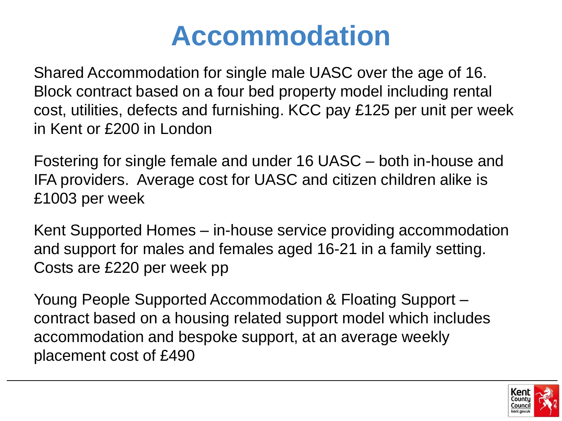### **Accommodation**

Shared Accommodation for single male UASC over the age of 16. Block contract based on a four bed property model including rental cost, utilities, defects and furnishing. KCC pay £125 per unit per week in Kent or £200 in London

Fostering for single female and under 16 UASC – both in-house and IFA providers. Average cost for UASC and citizen children alike is £1003 per week

Kent Supported Homes – in-house service providing accommodation and support for males and females aged 16-21 in a family setting. Costs are £220 per week pp

Young People Supported Accommodation & Floating Support – contract based on a housing related support model which includes accommodation and bespoke support, at an average weekly placement cost of £490

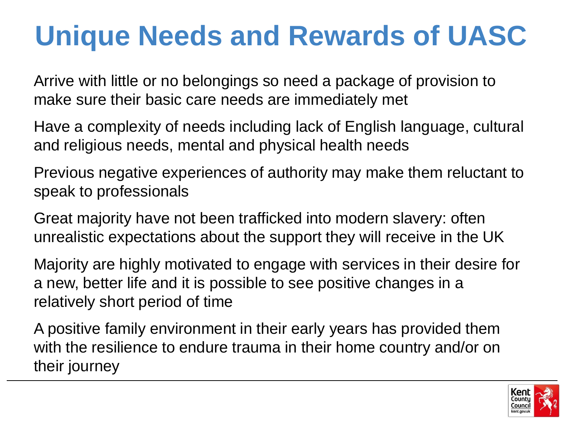# **Unique Needs and Rewards of UASC**

Arrive with little or no belongings so need a package of provision to make sure their basic care needs are immediately met

Have a complexity of needs including lack of English language, cultural and religious needs, mental and physical health needs

Previous negative experiences of authority may make them reluctant to speak to professionals

Great majority have not been trafficked into modern slavery: often unrealistic expectations about the support they will receive in the UK

Majority are highly motivated to engage with services in their desire for a new, better life and it is possible to see positive changes in a relatively short period of time

A positive family environment in their early years has provided them with the resilience to endure trauma in their home country and/or on their journey

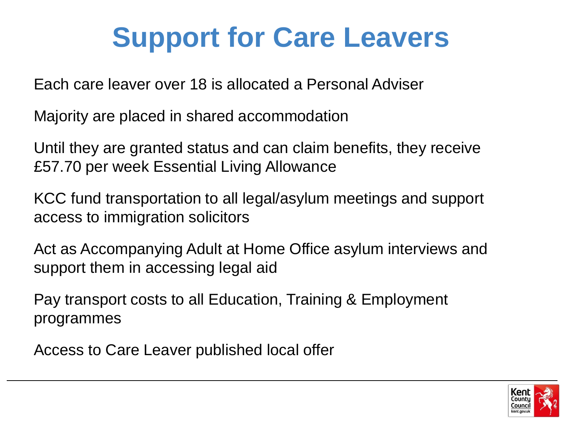# **Support for Care Leavers**

Each care leaver over 18 is allocated a Personal Adviser

Majority are placed in shared accommodation

Until they are granted status and can claim benefits, they receive £57.70 per week Essential Living Allowance

KCC fund transportation to all legal/asylum meetings and support access to immigration solicitors

Act as Accompanying Adult at Home Office asylum interviews and support them in accessing legal aid

Pay transport costs to all Education, Training & Employment programmes

Access to Care Leaver published local offer

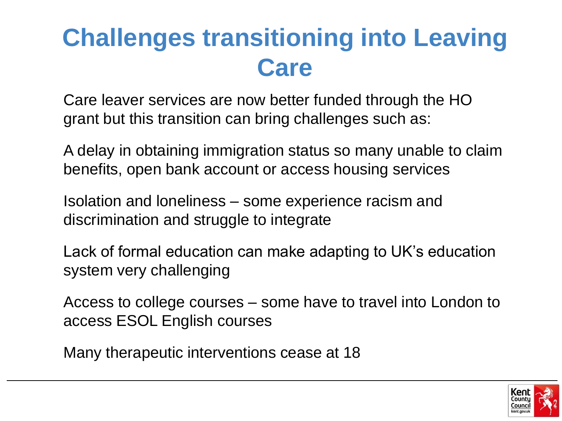#### **Challenges transitioning into Leaving Care**

Care leaver services are now better funded through the HO grant but this transition can bring challenges such as:

A delay in obtaining immigration status so many unable to claim benefits, open bank account or access housing services

Isolation and loneliness – some experience racism and discrimination and struggle to integrate

Lack of formal education can make adapting to UK's education system very challenging

Access to college courses – some have to travel into London to access ESOL English courses

Many therapeutic interventions cease at 18

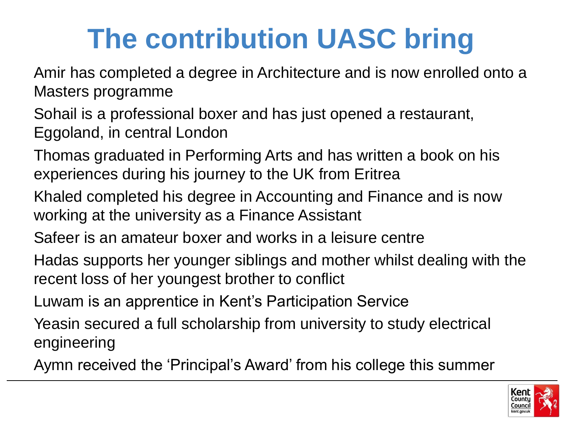# **The contribution UASC bring**

Amir has completed a degree in Architecture and is now enrolled onto a Masters programme

Sohail is a professional boxer and has just opened a restaurant, Eggoland, in central London

Thomas graduated in Performing Arts and has written a book on his experiences during his journey to the UK from Eritrea

- Khaled completed his degree in Accounting and Finance and is now working at the university as a Finance Assistant
- Safeer is an amateur boxer and works in a leisure centre
- Hadas supports her younger siblings and mother whilst dealing with the recent loss of her youngest brother to conflict
- Luwam is an apprentice in Kent's Participation Service
- Yeasin secured a full scholarship from university to study electrical engineering
- Aymn received the 'Principal's Award' from his college this summer

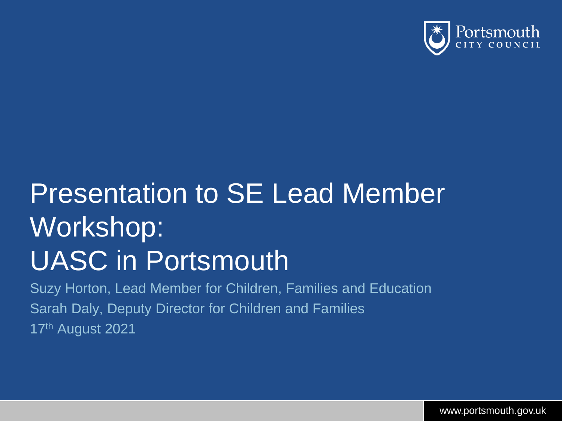

# Presentation to SE Lead Member Workshop: UASC in Portsmouth

Suzy Horton, Lead Member for Children, Families and Education Sarah Daly, Deputy Director for Children and Families 17th August 2021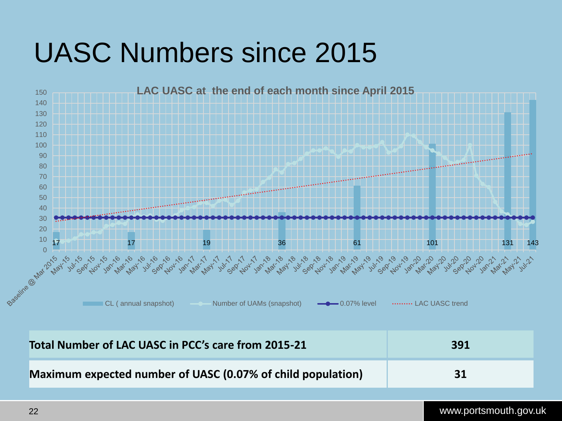## UASC Numbers since 2015



| Total Number of LAC UASC in PCC's care from 2015-21         | 391 |
|-------------------------------------------------------------|-----|
| Maximum expected number of UASC (0.07% of child population) | 31  |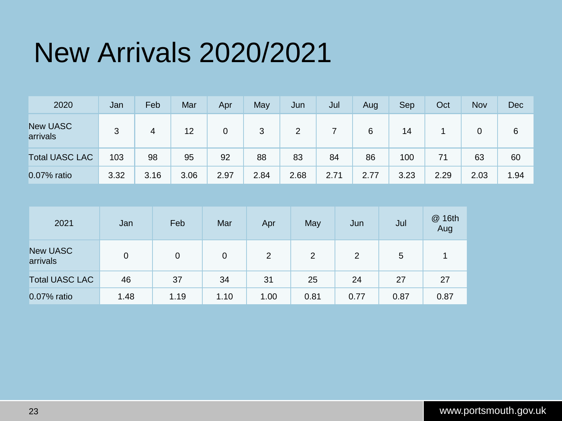## New Arrivals 2020/2021

| 2020                        | Jan  | Feb  | Mar  | Apr  | May  | Jun  | Jul  | Aug  | Sep  | Oct  | Nov  | Dec  |
|-----------------------------|------|------|------|------|------|------|------|------|------|------|------|------|
| <b>New UASC</b><br>arrivals | 3    | 4    | 12   | 0    | 3    | 2    |      | 6    | 14   |      | 0    | 6    |
| <b>Total UASC LAC</b>       | 103  | 98   | 95   | 92   | 88   | 83   | 84   | 86   | 100  | 71   | 63   | 60   |
| 0.07% ratio                 | 3.32 | 3.16 | 3.06 | 2.97 | 2.84 | 2.68 | 2.71 | 2.77 | 3.23 | 2.29 | 2.03 | 1.94 |

| 2021                        | Jan            | Feb  | Mar  | Apr  | May            | Jun  | Jul  | @ 16th<br>Aug |
|-----------------------------|----------------|------|------|------|----------------|------|------|---------------|
| <b>New UASC</b><br>arrivals | $\overline{0}$ | 0    | 0    | 2    | $\overline{2}$ | 2    | 5    | 1.            |
| <b>Total UASC LAC</b>       | 46             | 37   | 34   | 31   | 25             | 24   | 27   | 27            |
| 0.07% ratio                 | 1.48           | 1.19 | 1.10 | 1.00 | 0.81           | 0.77 | 0.87 | 0.87          |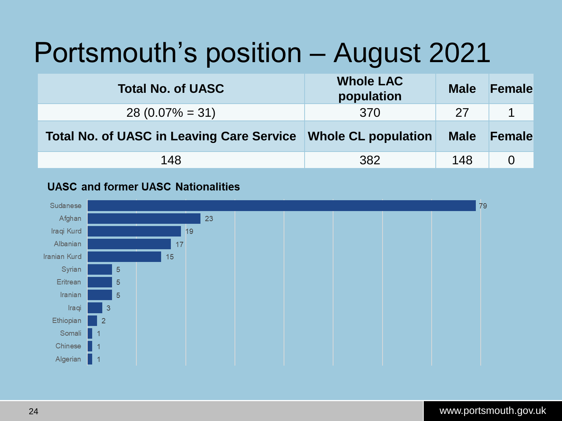## Portsmouth's position – August 2021

| <b>Total No. of UASC</b>                         | <b>Whole LAC</b><br>population | <b>Male</b> | Female |
|--------------------------------------------------|--------------------------------|-------------|--------|
| $28(0.07\% = 31)$                                | 370                            | 27          |        |
| <b>Total No. of UASC in Leaving Care Service</b> | <b>Whole CL population</b>     | <b>Male</b> | Female |
| 148                                              | 382                            | 148         |        |

#### **UASC and former UASC Nationalities**

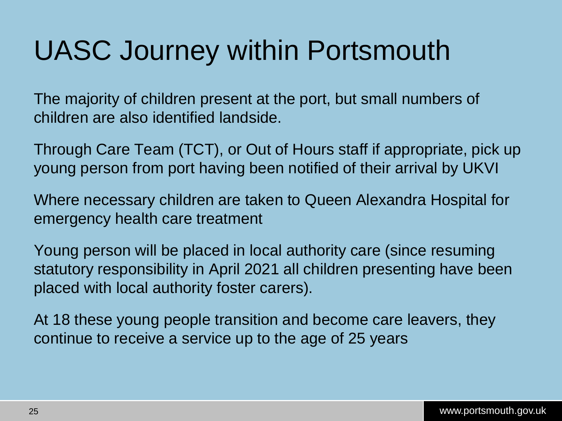## UASC Journey within Portsmouth

The majority of children present at the port, but small numbers of children are also identified landside.

Through Care Team (TCT), or Out of Hours staff if appropriate, pick up young person from port having been notified of their arrival by UKVI

Where necessary children are taken to Queen Alexandra Hospital for emergency health care treatment

Young person will be placed in local authority care (since resuming statutory responsibility in April 2021 all children presenting have been placed with local authority foster carers).

At 18 these young people transition and become care leavers, they continue to receive a service up to the age of 25 years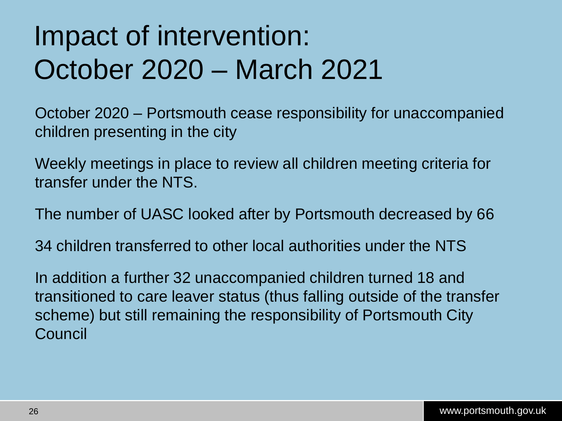# Impact of intervention: October 2020 – March 2021

October 2020 – Portsmouth cease responsibility for unaccompanied children presenting in the city

Weekly meetings in place to review all children meeting criteria for transfer under the NTS.

The number of UASC looked after by Portsmouth decreased by 66

34 children transferred to other local authorities under the NTS

In addition a further 32 unaccompanied children turned 18 and transitioned to care leaver status (thus falling outside of the transfer scheme) but still remaining the responsibility of Portsmouth City Council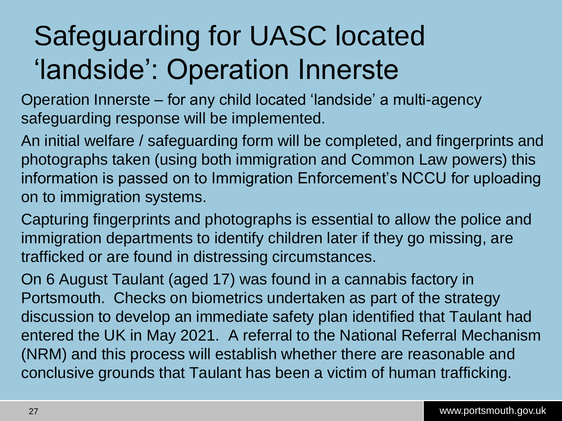# Safeguarding for UASC located 'landside': Operation Innerste

Operation Innerste – for any child located 'landside' a multi-agency safeguarding response will be implemented.

An initial welfare / safeguarding form will be completed, and fingerprints and photographs taken (using both immigration and Common Law powers) this information is passed on to Immigration Enforcement's NCCU for uploading on to immigration systems.

Capturing fingerprints and photographs is essential to allow the police and immigration departments to identify children later if they go missing, are trafficked or are found in distressing circumstances.

On 6 August Taulant (aged 17) was found in a cannabis factory in Portsmouth. Checks on biometrics undertaken as part of the strategy discussion to develop an immediate safety plan identified that Taulant had entered the UK in May 2021. A referral to the National Referral Mechanism (NRM) and this process will establish whether there are reasonable and conclusive grounds that Taulant has been a victim of human trafficking.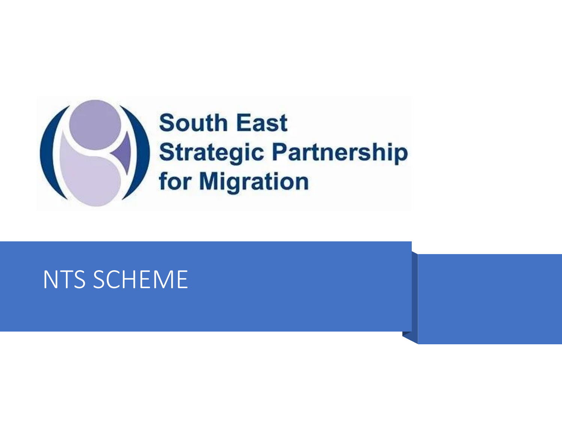

#### NTS SCHEME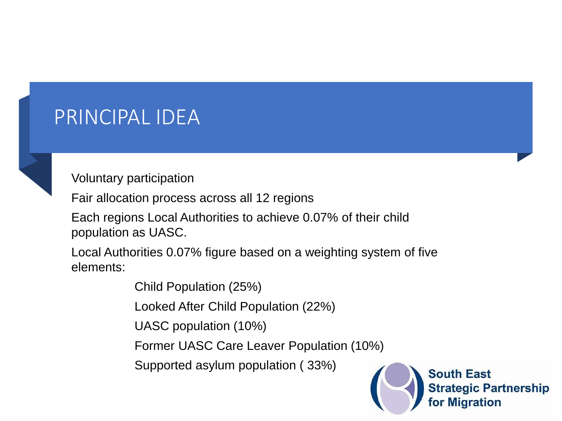#### PRINCIPAL IDEA



Voluntary participation

Fair allocation process across all 12 regions

Each regions Local Authorities to achieve 0.07% of their child population as UASC.

Local Authorities 0.07% figure based on a weighting system of five elements:

Child Population (25%)

Looked After Child Population (22%)

UASC population (10%)

Former UASC Care Leaver Population (10%)

Supported asylum population ( 33%)



**South East Strategic Partnership** for Migration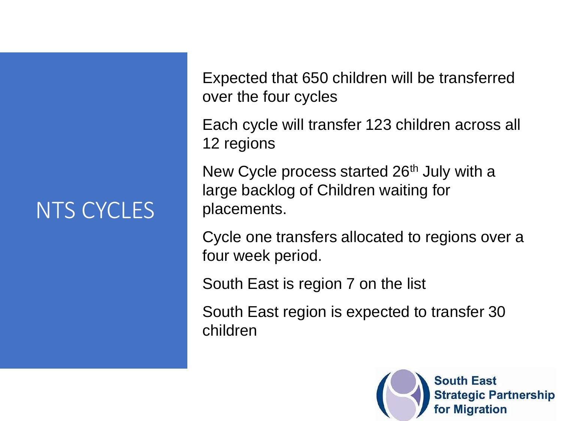#### NTS CYCLES

Expected that 650 children will be transferred over the four cycles

Each cycle will transfer 123 children across all 12 regions

New Cycle process started 26<sup>th</sup> July with a large backlog of Children waiting for placements.

Cycle one transfers allocated to regions over a four week period.

South East is region 7 on the list

South East region is expected to transfer 30 children

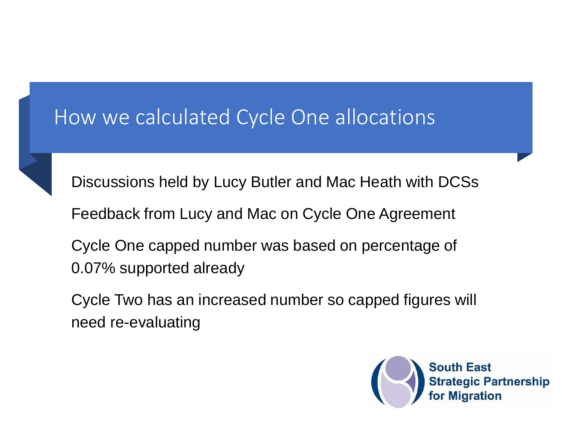#### How we calculated Cycle One allocations



Discussions held by Lucy Butler and Mac Heath with DCSs

Feedback from Lucy and Mac on Cycle One Agreement

Cycle One capped number was based on percentage of 0.07% supported already

Cycle Two has an increased number so capped figures will need re-evaluating

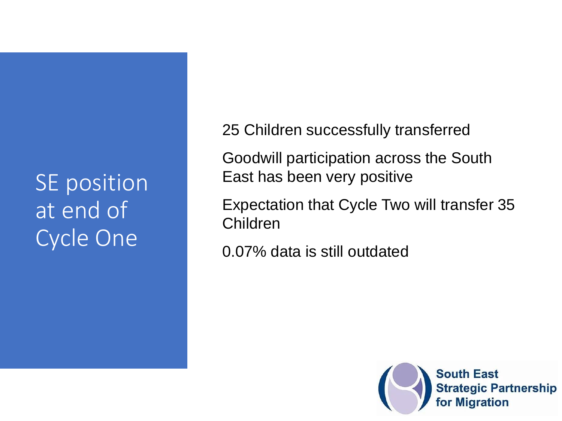SE position at end of Cycle One

25 Children successfully transferred

Goodwill participation across the South East has been very positive

Expectation that Cycle Two will transfer 35 Children

0.07% data is still outdated